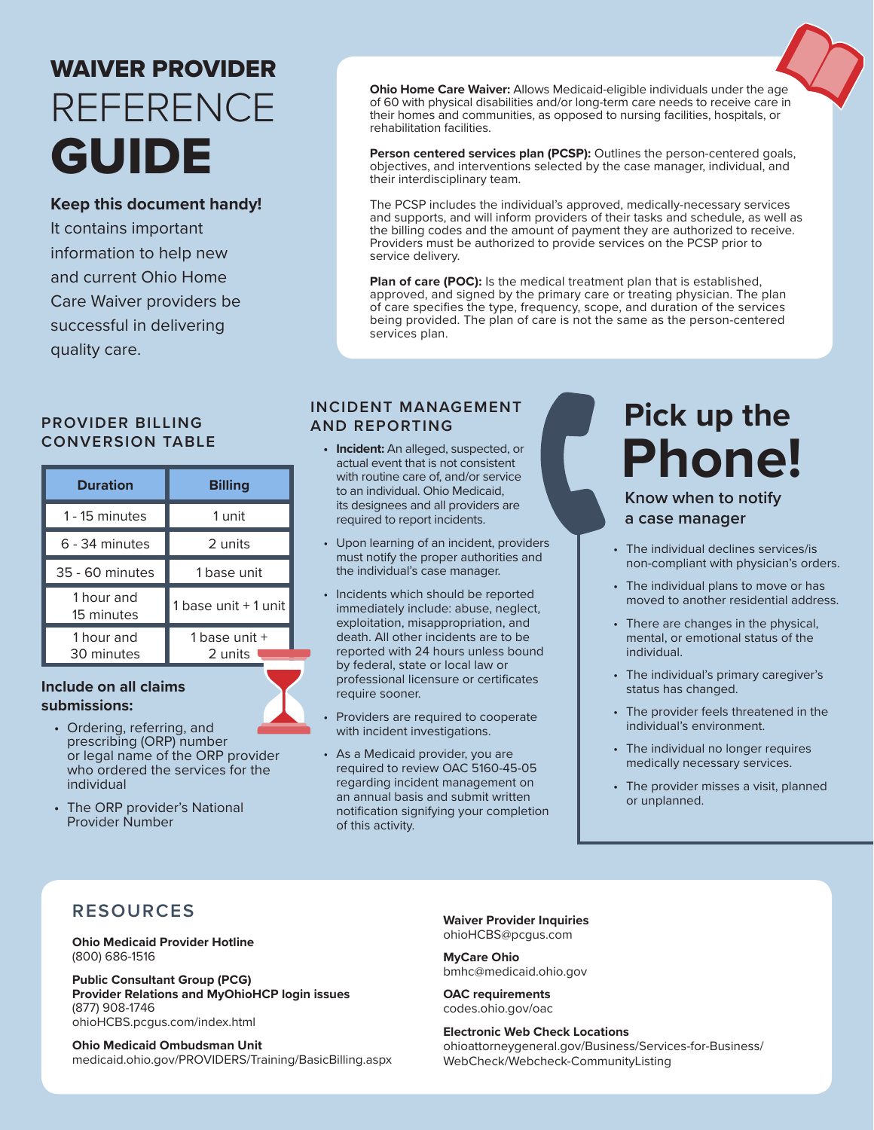# WAIVER PROVIDER GUIDE REFERENCE

# **Keep this document handy!**

It contains important information to help new and current Ohio Home Care Waiver providers be successful in delivering quality care.

### **PROVIDER BILLING CONVERSION TABLE**

| <b>Duration</b>          | <b>Billing</b>             |
|--------------------------|----------------------------|
| 1 - 15 minutes           | 1 unit                     |
| 6 - 34 minutes           | 2 units                    |
| 35 - 60 minutes          | 1 base unit                |
| 1 hour and<br>15 minutes | 1 base unit + 1 unit       |
| 1 hour and<br>30 minutes | 1 base unit $+$<br>2 units |

### **Include on all claims submissions:**



- Ordering, referring, and prescribing (ORP) number or legal name of the ORP provider who ordered the services for the individual
- The ORP provider's National Provider Number

**Ohio Home Care Waiver:** Allows Medicaid-eligible individuals under the age of 60 with physical disabilities and/or long-term care needs to receive care in their homes and communities, as opposed to nursing facilities, hospitals, or rehabilitation facilities.

Person centered services plan (PCSP): Outlines the person-centered goals, objectives, and interventions selected by the case manager, individual, and their interdisciplinary team.

The PCSP includes the individual's approved, medically-necessary services and supports, and will inform providers of their tasks and schedule, as well as the billing codes and the amount of payment they are authorized to receive. Providers must be authorized to provide services on the PCSP prior to service delivery.

**Plan of care (POC):** Is the medical treatment plan that is established, approved, and signed by the primary care or treating physician. The plan of care specifies the type, frequency, scope, and duration of the services being provided. The plan of care is not the same as the person-centered services plan.

# **INCIDENT MANAGEMENT AND REPORTING**

- **• Incident:** An alleged, suspected, or actual event that is not consistent with routine care of, and/or service to an individual. Ohio Medicaid, its designees and all providers are required to report incidents.
- Upon learning of an incident, providers must notify the proper authorities and the individual's case manager.
- Incidents which should be reported immediately include: abuse, neglect, exploitation, misappropriation, and death. All other incidents are to be reported with 24 hours unless bound by federal, state or local law or professional licensure or certificates require sooner.
- Providers are required to cooperate with incident investigations.
- As a Medicaid provider, you are required to review OAC 5160-45-05 regarding incident management on an annual basis and submit written notification signifying your completion of this activity.

# **Pick up the Phone!**

**Know when to notify a case manager**

- The individual declines services/is non-compliant with physician's orders.
- The individual plans to move or has moved to another residential address.
- There are changes in the physical, mental, or emotional status of the individual.
- The individual's primary caregiver's status has changed.
- The provider feels threatened in the individual's environment.
- The individual no longer requires medically necessary services.
- The provider misses a visit, planned or unplanned.

# **RESOURCES**

**Ohio Medicaid Provider Hotline** (800) 686-1516

**Public Consultant Group (PCG) Provider Relations and MyOhioHCP login issues** (877) 908-1746 ohioHCBS.pcgus.com/index.html

**Ohio Medicaid Ombudsman Unit** medicaid.ohio.gov/PROVIDERS/Training/BasicBilling.aspx **Waiver Provider Inquiries** ohioHCBS@pcgus.com

**MyCare Ohio** bmhc@medicaid.ohio.gov

**OAC requirements** codes.ohio.gov/oac

**Electronic Web Check Locations** ohioattorneygeneral.gov/Business/Services-for-Business/ WebCheck/Webcheck-CommunityListing